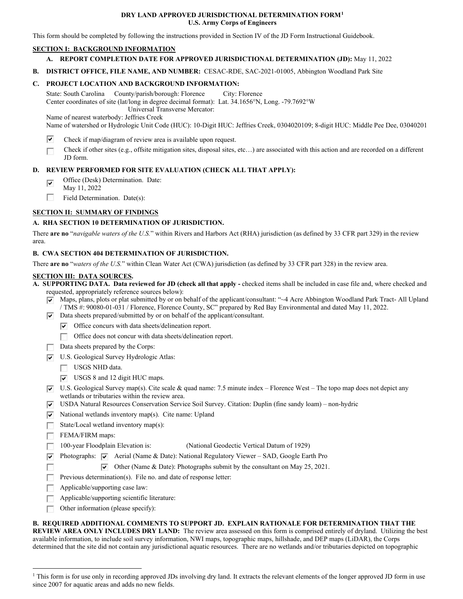### **DRY LAND APPROVED JURISDICTIONAL DETERMINATION FORM[1](#page-0-0)  U.S. Army Corps of Engineers**

This form should be completed by following the instructions provided in Section IV of the JD Form Instructional Guidebook.

## **SECTION I: BACKGROUND INFORMATION**

## **A. REPORT COMPLETION DATE FOR APPROVED JURISDICTIONAL DETERMINATION (JD):** May 11, 2022

 **B. DISTRICT OFFICE, FILE NAME, AND NUMBER:** CESAC-RDE, SAC-2021-01005, Abbington Woodland Park Site

## **C. PROJECT LOCATION AND BACKGROUND INFORMATION:**

 State: South Carolina County/parish/borough: Florence City: Florence Center coordinates of site (lat/long in degree decimal format): Lat. 34.1656°N, Long. -79.7692°W Universal Transverse Mercator:

Name of nearest waterbody: Jeffries Creek

Name of watershed or Hydrologic Unit Code (HUC): 10-Digit HUC: Jeffries Creek, 0304020109; 8-digit HUC: Middle Pee Dee, 03040201

- $\overline{\mathbf{v}}$ Check if map/diagram of review area is available upon request.
- □ Check if other sites (e.g., offsite mitigation sites, disposal sites, etc…) are associated with this action and are recorded on a different JD form.

## **D. REVIEW PERFORMED FOR SITE EVALUATION (CHECK ALL THAT APPLY):**

- $\overline{\mathbf{v}}$ Office (Desk) Determination. Date:
- May 11, 2022
- □ Field Determination. Date(s):

# **SECTION II: SUMMARY OF FINDINGS**

## **A. RHA SECTION 10 DETERMINATION OF JURISDICTION.**

 There **are no** "*navigable waters of the U.S.*" within Rivers and Harbors Act (RHA) jurisdiction (as defined by 33 CFR part 329) in the review area.

## **B. CWA SECTION 404 DETERMINATION OF JURISDICTION.**

There **are no** "*waters of the U.S.*" within Clean Water Act (CWA) jurisdiction (as defined by 33 CFR part 328) in the review area.

### **SECTION III: DATA SOURCES.**

 requested, appropriately reference sources below): **A. SUPPORTING DATA. Data reviewed for JD (check all that apply -** checked items shall be included in case file and, where checked and

- RJ Maps, plans, plots or plat submitted by or on behalf of the applicant/consultant: "~4 Acre Abbington Woodland Park Tract- All Upland / TMS #: 90080-01-031 / Florence, Florence County, SC" prepared by Red Bay Environmental and dated May 11, 2022.
- $\overline{v}$  Data sheets prepared/submitted by or on behalf of the applicant/consultant.
	- **Plus** Office concurs with data sheets/delineation report.
	- Office does not concur with data sheets/delineation report.
- □ Data sheets prepared by the Corps:
- **V** U.S. Geological Survey Hydrologic Atlas:
	- USGS NHD data.
	- □  $\triangleright$  USGS 8 and 12 digit HUC maps.
- $\nabla$  U.S. Geological Survey map(s). Cite scale & quad name: 7.5 minute index Florence West The topo map does not depict any wetlands or tributaries within the review area.
- **Pl**  USDA Natural Resources Conservation Service Soil Survey. Citation: Duplin (fine sandy loam) non-hydric
- $\triangledown$  National wetlands inventory map(s). Cite name: Upland
- □ State/Local wetland inventory map(s):
- □ FEMA/FIRM maps:
- 100-year Floodplain Elevation is: (National Geodectic Vertical Datum of 1929)
- **Photographs:**  $\blacktriangledown$  Aerial (Name & Date): National Regulatory Viewer SAD, Google Earth Pro
	- $\triangledown$  Other (Name & Date): Photographs submit by the consultant on May 25, 2021.
- □ RJ □ Previous determination(s). File no. and date of response letter:
- □ Applicable/supporting case law:
- □ Applicable/supporting scientific literature:
- □ Other information (please specify):

### **B. REQUIRED ADDITIONAL COMMENTS TO SUPPORT JD. EXPLAIN RATIONALE FOR DETERMINATION THAT THE**

 **REVIEW AREA ONLY INCLUDES DRY LAND:** The review area assessed on this form is comprised entirely of dryland. Utilizing the best determined that the site did not contain any jurisdictional aquatic resources. There are no wetlands and/or tributaries depicted on topographic available information, to include soil survey information, NWI maps, topographic maps, hillshade, and DEP maps (LiDAR), the Corps

<span id="page-0-0"></span><sup>&</sup>lt;sup>1</sup> This form is for use only in recording approved JDs involving dry land. It extracts the relevant elements of the longer approved JD form in use since 2007 for aquatic areas and adds no new fields.